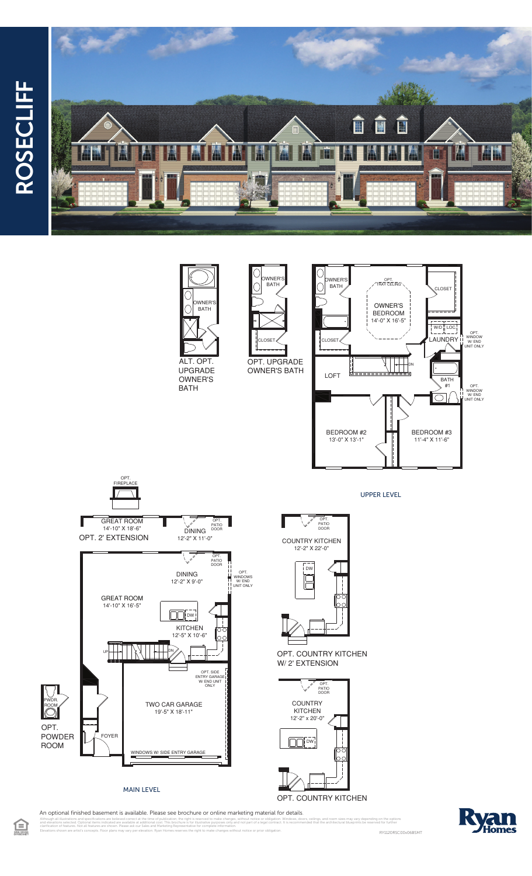











UPPER LEVEL

**COUNTRY KITCHEN** 12'-2" X 22'-0" OPT.<br>PATIO<br>DOOR



OPT. COUNTRY KITCHEN W/2' EXTENSION



OPT. COUNTRY KITCHEN



 $\bigoplus$ RY1120RSC00v06BSMT Elevations shown are artist's concepts. Floor plans may vary per elevation. Ryan Homes reserves the right to make changes without notice or prior obligation.